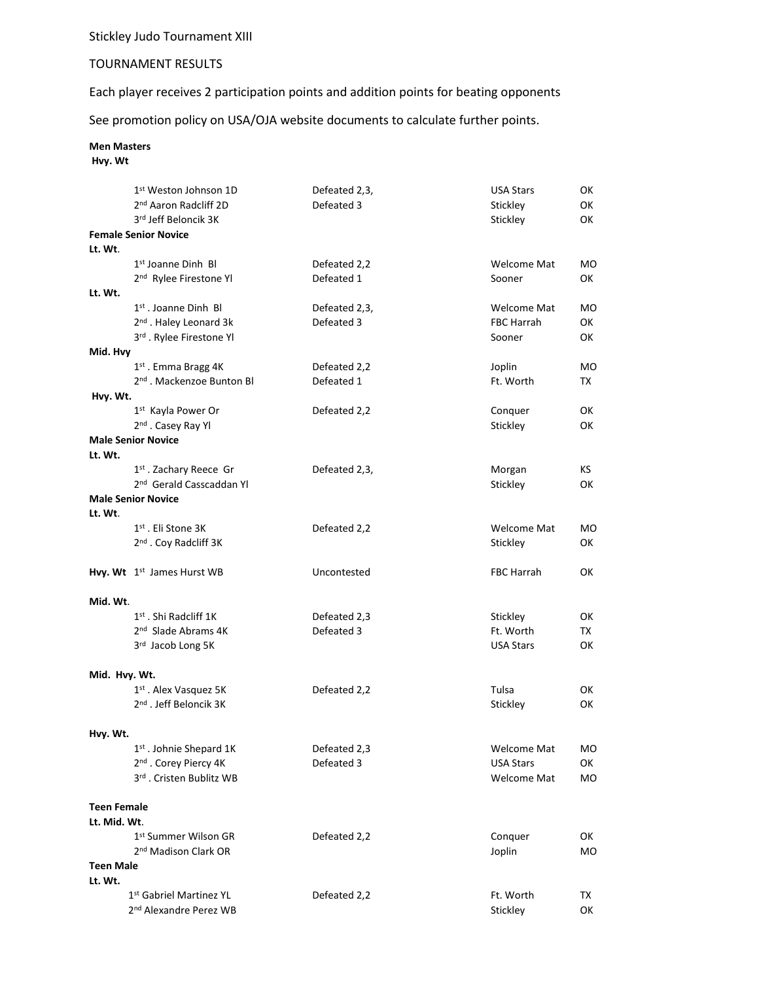Stickley Judo Tournament XIII

## TOURNAMENT RESULTS

Each player receives 2 participation points and addition points for beating opponents

See promotion policy on USA/OJA website documents to calculate further points.

## **Men Masters**

**Hvy. Wt**

|                    | 1 <sup>st</sup> Weston Johnson 1D      | Defeated 2,3, | <b>USA Stars</b>   | ОΚ  |
|--------------------|----------------------------------------|---------------|--------------------|-----|
|                    | 2 <sup>nd</sup> Aaron Radcliff 2D      | Defeated 3    | Stickley           | ОΚ  |
|                    | 3rd Jeff Beloncik 3K                   |               | Stickley           | ОΚ  |
|                    | <b>Female Senior Novice</b>            |               |                    |     |
| Lt. Wt.            |                                        |               |                    |     |
|                    | 1 <sup>st</sup> Joanne Dinh Bl         | Defeated 2,2  | <b>Welcome Mat</b> | MO  |
|                    | 2 <sup>nd</sup> Rylee Firestone Yl     | Defeated 1    | Sooner             | ОΚ  |
| Lt. Wt.            |                                        |               |                    |     |
|                    | 1 <sup>st</sup> . Joanne Dinh Bl       | Defeated 2,3, | <b>Welcome Mat</b> | MO  |
|                    | 2 <sup>nd</sup> . Haley Leonard 3k     | Defeated 3    | <b>FBC Harrah</b>  | ОΚ  |
|                    | 3rd. Rylee Firestone Yl                |               | Sooner             | ОΚ  |
| Mid. Hvy           |                                        |               |                    |     |
|                    | 1 <sup>st</sup> . Emma Bragg 4K        | Defeated 2,2  | Joplin             | МO  |
|                    | 2 <sup>nd</sup> . Mackenzoe Bunton Bl  | Defeated 1    | Ft. Worth          | TX  |
| Hvy. Wt.           | 1 <sup>st</sup> Kayla Power Or         | Defeated 2,2  | Conquer            | ОΚ  |
|                    | 2 <sup>nd</sup> . Casey Ray Yl         |               | Stickley           | ОΚ  |
|                    | <b>Male Senior Novice</b>              |               |                    |     |
| Lt. Wt.            |                                        |               |                    |     |
|                    | 1 <sup>st</sup> . Zachary Reece Gr     | Defeated 2,3, | Morgan             | KS. |
|                    | 2 <sup>nd</sup> Gerald Casscaddan Yl   |               | Stickley           | ОΚ  |
|                    | <b>Male Senior Novice</b>              |               |                    |     |
| Lt. Wt.            |                                        |               |                    |     |
|                    | 1 <sup>st</sup> . Eli Stone 3K         | Defeated 2,2  | <b>Welcome Mat</b> | МO  |
|                    | 2 <sup>nd</sup> . Coy Radcliff 3K      |               | Stickley           | ОΚ  |
|                    |                                        |               |                    |     |
|                    | Hvy. Wt 1 <sup>st</sup> James Hurst WB | Uncontested   | <b>FBC Harrah</b>  | ОΚ  |
|                    |                                        |               |                    |     |
| Mid. Wt.           |                                        |               |                    |     |
|                    | $1st$ . Shi Radcliff 1K                | Defeated 2,3  | Stickley           | ОΚ  |
|                    | 2 <sup>nd</sup> Slade Abrams 4K        | Defeated 3    | Ft. Worth          | TX. |
|                    | 3rd Jacob Long 5K                      |               | <b>USA Stars</b>   | ОΚ  |
|                    |                                        |               |                    |     |
| Mid. Hvy. Wt.      | 1 <sup>st</sup> . Alex Vasquez 5K      | Defeated 2,2  | Tulsa              | 0K  |
|                    | 2 <sup>nd</sup> . Jeff Beloncik 3K     |               | Stickley           | OK  |
|                    |                                        |               |                    |     |
| Hvy. Wt.           |                                        |               |                    |     |
|                    | 1st. Johnie Shepard 1K                 | Defeated 2,3  | <b>Welcome Mat</b> | МO  |
|                    | 2 <sup>nd</sup> . Corey Piercy 4K      | Defeated 3    | <b>USA Stars</b>   | ОΚ  |
|                    | 3rd. Cristen Bublitz WB                |               | <b>Welcome Mat</b> | MO  |
|                    |                                        |               |                    |     |
| <b>Teen Female</b> |                                        |               |                    |     |
| Lt. Mid. Wt.       |                                        |               |                    |     |
|                    | 1st Summer Wilson GR                   | Defeated 2,2  | Conquer            | ОΚ  |
|                    | 2 <sup>nd</sup> Madison Clark OR       |               | Joplin             | MO  |
| <b>Teen Male</b>   |                                        |               |                    |     |
| Lt. Wt.            |                                        |               |                    |     |
|                    | 1st Gabriel Martinez YL                | Defeated 2,2  | Ft. Worth          | TX  |
|                    | 2 <sup>nd</sup> Alexandre Perez WB     |               | Stickley           | ОК  |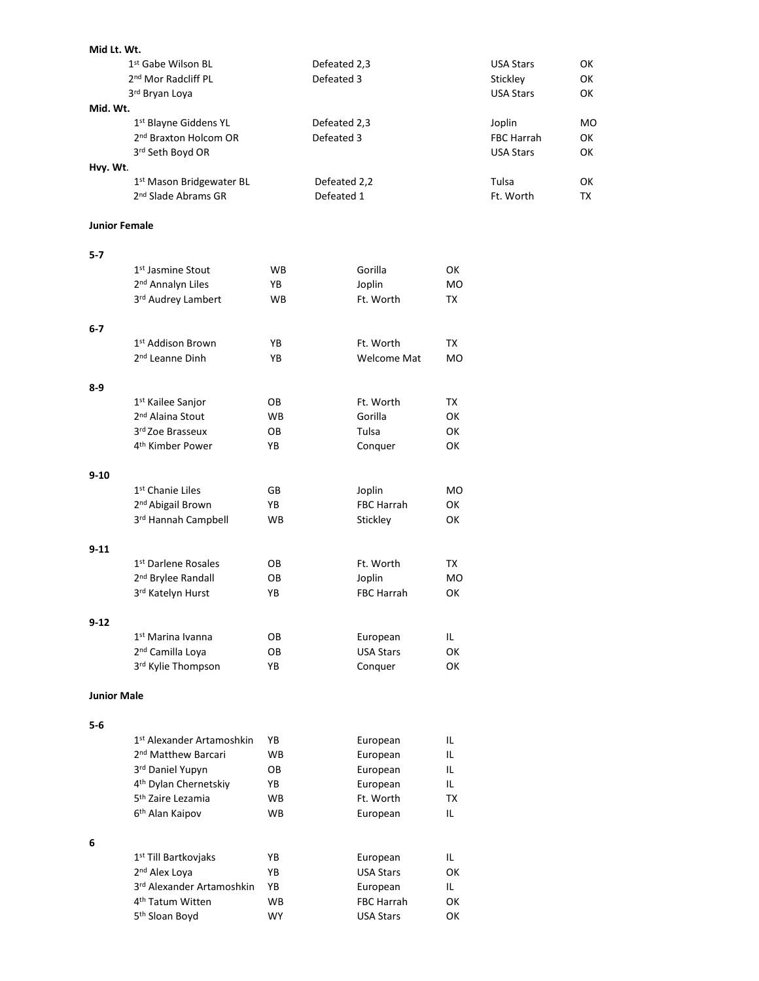| Mid Lt. Wt.          |                                                                        |           |                            |                    |           |                             |                 |
|----------------------|------------------------------------------------------------------------|-----------|----------------------------|--------------------|-----------|-----------------------------|-----------------|
|                      | 1st Gabe Wilson BL                                                     |           | Defeated 2,3               |                    |           | <b>USA Stars</b>            | ОΚ              |
|                      | 2 <sup>nd</sup> Mor Radcliff PL                                        |           | Defeated 3                 |                    |           | Stickley                    | ОK              |
|                      | 3rd Bryan Loya                                                         |           |                            |                    |           | <b>USA Stars</b>            | ОΚ              |
| Mid. Wt.             |                                                                        |           |                            |                    |           |                             |                 |
|                      | 1 <sup>st</sup> Blayne Giddens YL<br>2 <sup>nd</sup> Braxton Holcom OR |           | Defeated 2,3<br>Defeated 3 |                    |           | Joplin<br><b>FBC Harrah</b> | <b>MO</b><br>ОΚ |
|                      | 3rd Seth Boyd OR                                                       |           |                            |                    |           | <b>USA Stars</b>            | ОΚ              |
| Hvy. Wt.             |                                                                        |           |                            |                    |           |                             |                 |
|                      | 1st Mason Bridgewater BL                                               |           | Defeated 2,2               |                    |           | Tulsa                       | ОΚ              |
|                      | 2 <sup>nd</sup> Slade Abrams GR                                        |           | Defeated 1                 |                    |           | Ft. Worth                   | TX              |
|                      |                                                                        |           |                            |                    |           |                             |                 |
| <b>Junior Female</b> |                                                                        |           |                            |                    |           |                             |                 |
| $5-7$                |                                                                        |           |                            |                    |           |                             |                 |
|                      | 1 <sup>st</sup> Jasmine Stout                                          | WB        |                            | Gorilla            | OK        |                             |                 |
|                      | 2 <sup>nd</sup> Annalyn Liles                                          | YB        |                            | Joplin             | <b>MO</b> |                             |                 |
|                      | 3rd Audrey Lambert                                                     | WB        |                            | Ft. Worth          | TX        |                             |                 |
|                      |                                                                        |           |                            |                    |           |                             |                 |
| 6-7                  |                                                                        |           |                            |                    |           |                             |                 |
|                      | 1st Addison Brown                                                      | ΥB        |                            | Ft. Worth          | TX        |                             |                 |
|                      | 2 <sup>nd</sup> Leanne Dinh                                            | ΥB        |                            | <b>Welcome Mat</b> | <b>MO</b> |                             |                 |
| 8-9                  |                                                                        |           |                            |                    |           |                             |                 |
|                      | 1 <sup>st</sup> Kailee Sanjor                                          | OВ        |                            | Ft. Worth          | TX        |                             |                 |
|                      | 2 <sup>nd</sup> Alaina Stout                                           | <b>WB</b> |                            | Gorilla            | OK        |                             |                 |
|                      | 3rd Zoe Brasseux                                                       | OВ        |                            | Tulsa              | OK        |                             |                 |
|                      | 4 <sup>th</sup> Kimber Power                                           | YΒ        |                            | Conquer            | ОΚ        |                             |                 |
|                      |                                                                        |           |                            |                    |           |                             |                 |
| $9 - 10$             |                                                                        |           |                            |                    |           |                             |                 |
|                      | 1 <sup>st</sup> Chanie Liles                                           | GB        |                            | Joplin             | MO.       |                             |                 |
|                      | 2 <sup>nd</sup> Abigail Brown                                          | ΥB        |                            | <b>FBC Harrah</b>  | ОΚ        |                             |                 |
|                      | 3rd Hannah Campbell                                                    | WB        |                            | Stickley           | ОΚ        |                             |                 |
| $9 - 11$             |                                                                        |           |                            |                    |           |                             |                 |
|                      | 1st Darlene Rosales                                                    | OB        |                            | Ft. Worth          | TX        |                             |                 |
|                      | 2 <sup>nd</sup> Brylee Randall                                         | OB        |                            | Joplin             | <b>MO</b> |                             |                 |
|                      | 3 <sup>rd</sup> Katelyn Hurst                                          | YΒ        |                            | FBC Harrah         | ОΚ        |                             |                 |
|                      |                                                                        |           |                            |                    |           |                             |                 |
| $9 - 12$             |                                                                        |           |                            |                    |           |                             |                 |
|                      | 1 <sup>st</sup> Marina Ivanna                                          | OВ        |                            | European           | IL.       |                             |                 |
|                      | 2 <sup>nd</sup> Camilla Loya                                           | OВ        |                            | <b>USA Stars</b>   | OK        |                             |                 |
|                      | 3rd Kylie Thompson                                                     | YB        |                            | Conquer            | OK        |                             |                 |
| <b>Junior Male</b>   |                                                                        |           |                            |                    |           |                             |                 |
|                      |                                                                        |           |                            |                    |           |                             |                 |
| $5-6$                |                                                                        |           |                            |                    |           |                             |                 |
|                      | 1 <sup>st</sup> Alexander Artamoshkin                                  | ΥB        |                            | European           | IL.       |                             |                 |
|                      | 2 <sup>nd</sup> Matthew Barcari                                        | WB        |                            | European           | IL        |                             |                 |
|                      | 3rd Daniel Yupyn                                                       | OB        |                            | European           | IL        |                             |                 |
|                      | 4 <sup>th</sup> Dylan Chernetskiy                                      | YB        |                            | European           | IL.       |                             |                 |
|                      | 5 <sup>th</sup> Zaire Lezamia                                          | WB        |                            | Ft. Worth          | ТX        |                             |                 |
|                      | 6 <sup>th</sup> Alan Kaipov                                            | WB        |                            | European           | IL.       |                             |                 |
| 6                    |                                                                        |           |                            |                    |           |                             |                 |
|                      | 1 <sup>st</sup> Till Bartkovjaks                                       | ΥB        |                            | European           | IL.       |                             |                 |
|                      | 2 <sup>nd</sup> Alex Loya                                              | ΥB        |                            | <b>USA Stars</b>   | OK        |                             |                 |
|                      | 3rd Alexander Artamoshkin                                              | YB        |                            | European           | IL.       |                             |                 |
|                      | 4 <sup>th</sup> Tatum Witten                                           | WB        |                            | FBC Harrah         | OK        |                             |                 |
|                      | 5 <sup>th</sup> Sloan Boyd                                             | WY        |                            | <b>USA Stars</b>   | OK        |                             |                 |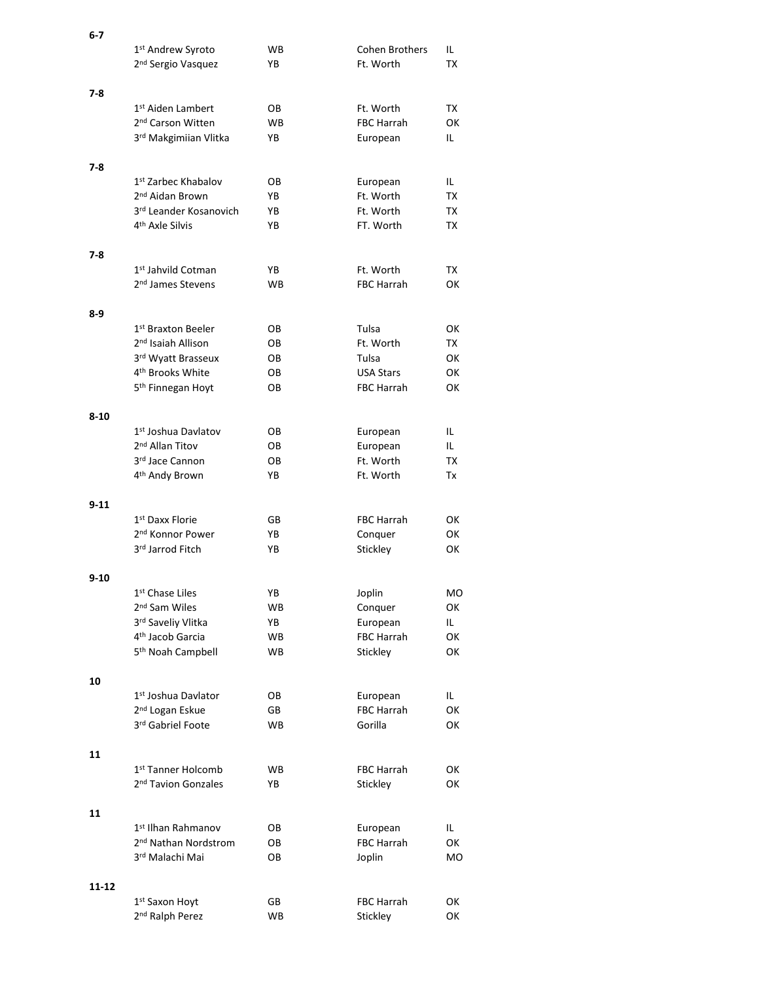| 6-7      |                                  |           |                   |           |
|----------|----------------------------------|-----------|-------------------|-----------|
|          | 1 <sup>st</sup> Andrew Syroto    | WB.       | Cohen Brothers    | IL        |
|          | 2 <sup>nd</sup> Sergio Vasquez   | YB        | Ft. Worth         | TX        |
|          |                                  |           |                   |           |
| 7-8      |                                  |           |                   |           |
|          | 1 <sup>st</sup> Aiden Lambert    | OB        | Ft. Worth         | TX        |
|          | 2 <sup>nd</sup> Carson Witten    | <b>WB</b> | FBC Harrah        | <b>OK</b> |
|          |                                  |           |                   |           |
|          | 3rd Makgimiian Vlitka            | YB        | European          | IL        |
|          |                                  |           |                   |           |
| 7-8      |                                  |           |                   |           |
|          | 1 <sup>st</sup> Zarbec Khabalov  | OВ        | European          | IL.       |
|          | 2 <sup>nd</sup> Aidan Brown      | YB        | Ft. Worth         | TX        |
|          | 3rd Leander Kosanovich           | YB        | Ft. Worth         | TX        |
|          | 4 <sup>th</sup> Axle Silvis      | YB        | FT. Worth         | TX        |
|          |                                  |           |                   |           |
| 7-8      |                                  |           |                   |           |
|          | 1 <sup>st</sup> Jahvild Cotman   | YB        | Ft. Worth         | TX        |
|          | 2 <sup>nd</sup> James Stevens    | <b>WB</b> | <b>FBC Harrah</b> | <b>OK</b> |
|          |                                  |           |                   |           |
|          |                                  |           |                   |           |
| 8-9      |                                  |           |                   |           |
|          | 1 <sup>st</sup> Braxton Beeler   | OВ        | Tulsa             | ОΚ        |
|          | 2 <sup>nd</sup> Isaiah Allison   | OВ        | Ft. Worth         | TX        |
|          | 3rd Wyatt Brasseux               | OВ        | Tulsa             | OK        |
|          | 4 <sup>th</sup> Brooks White     | OВ        | <b>USA Stars</b>  | ОΚ        |
|          | 5 <sup>th</sup> Finnegan Hoyt    | OВ        | <b>FBC Harrah</b> | OK        |
|          |                                  |           |                   |           |
| $8 - 10$ |                                  |           |                   |           |
|          | 1 <sup>st</sup> Joshua Davlatov  | OВ        | European          | IL        |
|          | 2 <sup>nd</sup> Allan Titov      | OВ        | European          | IL        |
|          | 3rd Jace Cannon                  | OВ        | Ft. Worth         | TX        |
|          | 4 <sup>th</sup> Andy Brown       | YB        | Ft. Worth         | Tx        |
|          |                                  |           |                   |           |
|          |                                  |           |                   |           |
| $9 - 11$ |                                  |           |                   |           |
|          | 1 <sup>st</sup> Daxx Florie      | GB        | FBC Harrah        | ОΚ        |
|          | 2 <sup>nd</sup> Konnor Power     | YB        | Conquer           | ОΚ        |
|          | 3rd Jarrod Fitch                 | YB        | Stickley          | ОΚ        |
|          |                                  |           |                   |           |
| $9 - 10$ |                                  |           |                   |           |
|          | 1st Chase Liles                  | YB        | Joplin            | MO        |
|          | 2 <sup>nd</sup> Sam Wiles        | WB.       | Conquer           | OK        |
|          | 3rd Saveliy Vlitka               | YB        | European          | IL.       |
|          | 4 <sup>th</sup> Jacob Garcia     | <b>WB</b> | FBC Harrah        | OK        |
|          | 5 <sup>th</sup> Noah Campbell    | <b>WB</b> |                   | ОΚ        |
|          |                                  |           | Stickley          |           |
|          |                                  |           |                   |           |
| 10       |                                  |           |                   |           |
|          | 1st Joshua Davlator              | OB        | European          | IL        |
|          | 2 <sup>nd</sup> Logan Eskue      | GB        | FBC Harrah        | OK        |
|          | 3rd Gabriel Foote                | <b>WB</b> | Gorilla           | OK        |
|          |                                  |           |                   |           |
| 11       |                                  |           |                   |           |
|          | 1 <sup>st</sup> Tanner Holcomb   | WB.       | FBC Harrah        | OK        |
|          | 2 <sup>nd</sup> Tavion Gonzales  | YB        | Stickley          | OK        |
|          |                                  |           |                   |           |
| 11       |                                  |           |                   |           |
|          |                                  |           |                   |           |
|          | 1 <sup>st</sup> Ilhan Rahmanov   | OB        | European          | IL.       |
|          | 2 <sup>nd</sup> Nathan Nordstrom | OB        | FBC Harrah        | OK        |
|          | 3rd Malachi Mai                  | OB        | Joplin            | MO        |
|          |                                  |           |                   |           |
| 11-12    |                                  |           |                   |           |
|          | 1 <sup>st</sup> Saxon Hoyt       | GB        | FBC Harrah        | OK        |
|          | 2 <sup>nd</sup> Ralph Perez      | WB        | Stickley          | ОК        |
|          |                                  |           |                   |           |